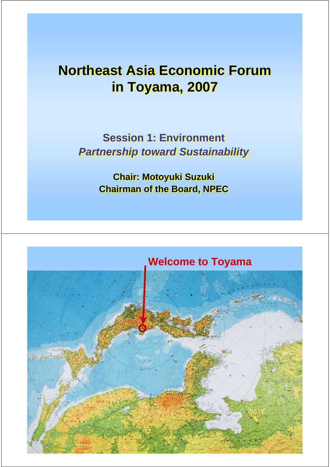## **Northeast Asia Economic Forum Northeast Asia Economic Forum in Toyama, 2007 in Toyama, 2007**

**Session 1: Environment Session 1: Environment** *Partnership toward Sustainability Partnership toward Sustainability*

> **Chair: Motoyuki Suzuki Chair: Motoyuki Suzuki Chairman of the Board, NPEC Chairman of the Board, NPEC**

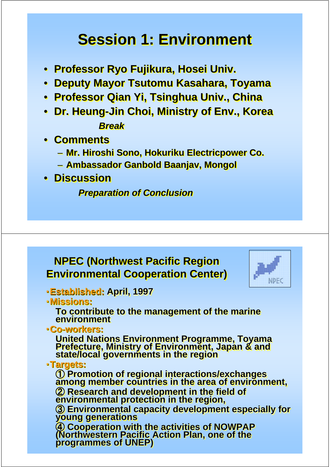# **Session 1: Environment Session 1: Environment**

- **Professor Ryo Fujikura, Hosei Univ. Professor Ryo Fujikura, Hosei Univ.**
- **Deputy Mayor Tsutomu Kasahara, Toyama Deputy Mayor Tsutomu Kasahara, Toyama**
- **Professor Qian Yi, Tsinghua Univ., China Professor Qian Yi, Tsinghua Univ., China**
- **Dr. Heung-Jin Choi, Ministry of Env., Korea Dr. Heung-Jin Choi, Ministry of Env., Korea** *Break Break*
- **Comments Comments**
	- **Mr. Hiroshi Sono, Hokuriku Electricpower Co. Mr. Hiroshi Sono, Hokuriku Electricpower Co.**
	- **Ambassador Ganbold Baanjav, Mongol Ambassador Ganbold Baanjav, Mongol**
- **Discussion Discussion**

*Preparation of Conclusion Preparation of Conclusion*

### **NPEC (Northwest Pacific Region NPEC (Northwest Pacific Region Environmental Cooperation Center) Environmental Cooperation Center)**



- ・**Established: April, 1997** ・**Established: Established: April, 1997 April, 1997**
- ・**Missions:**  ・**Missions: Missions:**

**To contribute to the management of the marine To contribute to the management of the marine To contribute to the management of the marine environment environment environment** 

・**Co-workers:** ・**Co-workers workers:**

**United Nations Environment Programme, Toyama Prefecture, Ministry of Environment, Japan & and state/local governments in the region** United Nations Environment Programme, Toyama<br>Prefecture, Ministry of Environment, Japan & and<br>state/local governments in the region

#### ・**Targets:** ・**Targets: Targets:**

① Promotion of regional interactions/exchanges<br>among member countries in the area of environment, ② Research and development in the field of<br>environmental protection in the region,

③ Environmental capacity development especially for<br>young generations

<sup>④</sup> **Cooperation with the activities of NOWPAP (Northwestern Pacific Action Plan, one of the programmes of UNEP)**  $\ddot{a}$  **Cooperation with the activities of NOWPAP (Northwestern Pacific Action Plan, one of the (Northwestern Pacific Action Plan, one of the programmes programmes of UNEP) of UNEP)**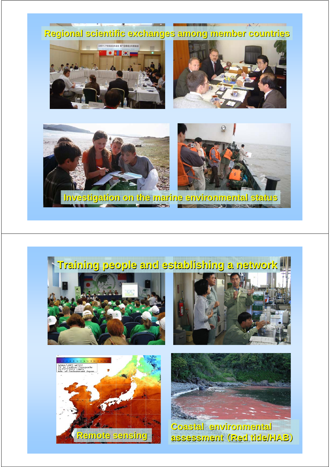



# **Training people and establishing a network Training people and establishing a network**









**Coastal environmental Coastal environmental assessment assessment** (**Red tide/HAB Red tide/HAB**)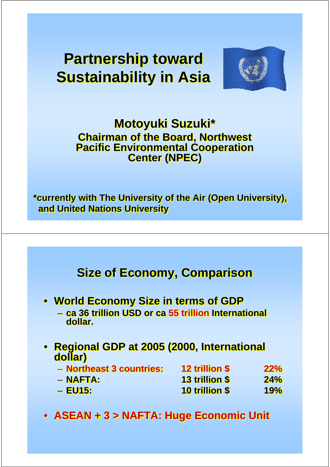# **Partnership toward Partnership toward Sustainability in Asia Sustainability in Asia**



### **Motoyuki Suzuki\* Motoyuki Suzuki\* Chairman of the Board, Northwest Chairman of the Board, Northwest Pacific Environmental Cooperation Pacific Environmental Cooperation Center (NPEC) Center (NPEC)**

**\*currently with The University of the Air (Open University), \*currently with The University of the Air (Open University), and United Nations University and United Nations University**

### **Size of Economy, Comparison Size of Economy, Comparison**

- **World Economy Size in terms of GDP World Economy Size in terms of GDP**
	- **ca 36 trillion USD or ca 55 trillion International ca 36 trillion USD or ca 55 trillion International dollar. dollar.**
- **Regional GDP at 2005 (2000, International Regional GDP at 2005 (2000, International dollar) dollar)**
	- **Northeast 3 countries: 12 trillion \$ 22% Northeast 3 countries: 12 trillion \$ 22%** – **NAFTA: 13 trillion \$ 24%** – **NAFTA: 13 trillion \$ 24%** – **EU15: 10 trillion \$ 19%** – **EU15: 10 trillion \$ 19%**
- **ASEAN + 3 > NAFTA: Huge Economic Unit ASEAN + 3 > NAFTA: Huge Economic Unit**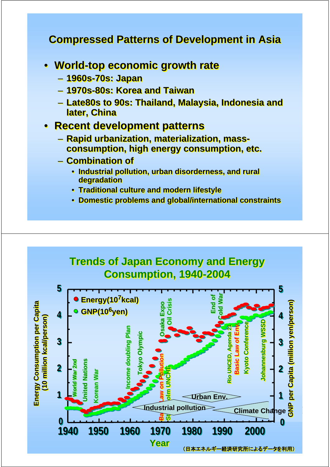#### **Compressed Patterns of Development in Asia Compressed Patterns of Development in Asia**

- **World-top economic growth rate World-top economic growth rate** 
	- **1960s-70s: Japan 1960s-70s: Japan**
	- **1970s-80s: Korea and Taiwan 1970s-80s: Korea and Taiwan**
	- **Late80s to 90s: Thailand, Malaysia, Indonesia and Late80s to 90s: Thailand, Malaysia, Indonesia and later, China later, China**

#### • **Recent development patterns** • **Recent development patterns**

- **Rapid urbanization, materialization, mass- Rapid urbanization, materialization, massconsumption, high energy consumption, etc.**
- **Combination of Combination of**
	- **Industrial pollution, urban disorderness, and rural Industrial pollution, urban disorderness, and rural degradation degradation**
	- **Traditional culture and modern lifestyle Traditional culture and modern lifestyle**
	- **Domestic problems and global/international constraints Domestic problems and global/international constraints**

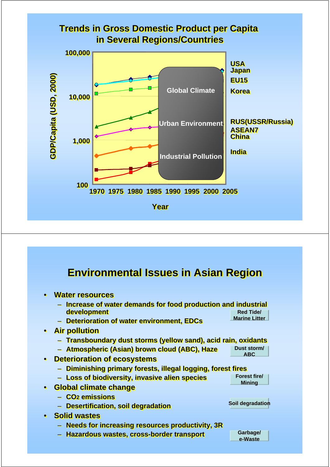

### **Environmental Issues in Asian Region Environmental Issues in Asian Region**

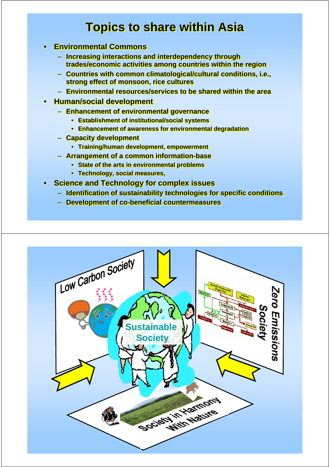### **Topics to share within Asia Topics to share within Asia**

- **Environmental Commons Environmental Commons**
	- **Increasing interactions and interdependency through Increasing interactions and interdependency through trades/economic activities among countries within the region trades/economic activities among countries within the region**
	- **Countries with common climatological/cultural conditions, i.e., Countries with common climatological/cultural conditions, i.e., strong effect of monsoon, rice cultures strong effect of monsoon, rice cultures**
	- **Environmental resources/services to be shared within the area Environmental resources/services to be shared within the area**
- **Human/social development Human/social development**
	- **Enhancement of environmental governance Enhancement of environmental governance**
		- **Establishment of institutional/social systems Establishment of institutional/social systems**
		- **Enhancement of awareness for environmental degradation Enhancement of awareness for environmental degradation**
	- **Capacity development Capacity development**
		- **Training/human development, empowerment Training/human development, empowerment**
	- **Arrangement of a common information-base Arrangement of a common information-base**
		- **State of the arts in environmental problems State of the arts in environmental problems**
		- **Technology, social measures, Technology, social measures,**
- **Science and Technology for complex issues Science and Technology for complex issues**
	- **Identification of sustainability technologies for specific conditions Identification of sustainability technologies for specific conditions**
	- **Development of co-beneficial countermeasures Development of co-beneficial countermeasures**